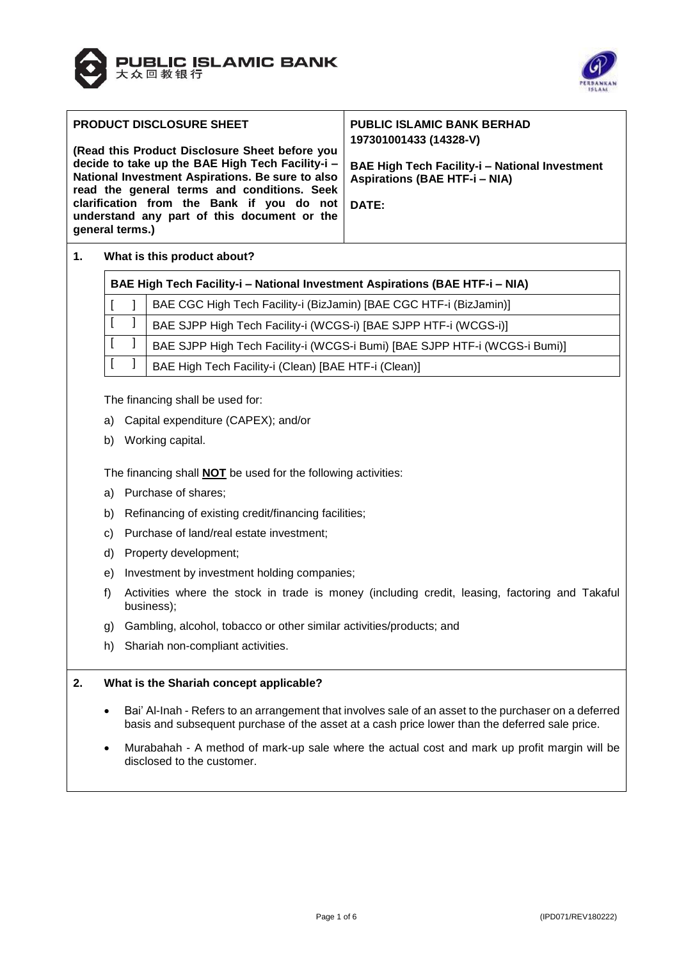



| <b>PRODUCT DISCLOSURE SHEET</b>                                                                                                                                                                                                                                                                                      | <b>PUBLIC ISLAMIC BANK BERHAD</b><br>197301001433 (14328-V)                                            |
|----------------------------------------------------------------------------------------------------------------------------------------------------------------------------------------------------------------------------------------------------------------------------------------------------------------------|--------------------------------------------------------------------------------------------------------|
| (Read this Product Disclosure Sheet before you<br>decide to take up the BAE High Tech Facility-i -<br>National Investment Aspirations. Be sure to also<br>read the general terms and conditions. Seek<br>clarification from the Bank if you do not<br>understand any part of this document or the<br>general terms.) | <b>BAE High Tech Facility-i - National Investment</b><br><b>Aspirations (BAE HTF-i - NIA)</b><br>DATE: |

# **1. What is this product about?**

 $\blacksquare$ 

| <b>BAE High Tech Facility-i - National Investment Aspirations (BAE HTF-i - NIA)</b> |                                                                    |  |  |  |  |  |
|-------------------------------------------------------------------------------------|--------------------------------------------------------------------|--|--|--|--|--|
|                                                                                     | BAE CGC High Tech Facility-i (BizJamin) [BAE CGC HTF-i (BizJamin)] |  |  |  |  |  |

|  | $\begin{bmatrix} 1 & 1 \end{bmatrix}$ BAE SJPP High Tech Facility-i (WCGS-i) [BAE SJPP HTF-i (WCGS-i)]                 |
|--|------------------------------------------------------------------------------------------------------------------------|
|  | $\left[\begin{array}{c}I\end{array}\right]$ BAE SJPP High Tech Facility-i (WCGS-i Bumi) [BAE SJPP HTF-i (WCGS-i Bumi)] |
|  | $\begin{bmatrix} 1 & 1 \end{bmatrix}$ BAE High Tech Facility-i (Clean) [BAE HTF-i (Clean)]                             |

The financing shall be used for:

- a) Capital expenditure (CAPEX); and/or
- b) Working capital.

The financing shall **NOT** be used for the following activities:

- a) Purchase of shares;
- b) Refinancing of existing credit/financing facilities;
- c) Purchase of land/real estate investment;
- d) Property development;
- e) Investment by investment holding companies;
- f) Activities where the stock in trade is money (including credit, leasing, factoring and Takaful business);
- g) Gambling, alcohol, tobacco or other similar activities/products; and
- h) Shariah non-compliant activities.

#### **2. What is the Shariah concept applicable?**

- Bai' Al-Inah Refers to an arrangement that involves sale of an asset to the purchaser on a deferred basis and subsequent purchase of the asset at a cash price lower than the deferred sale price.
- Murabahah A method of mark-up sale where the actual cost and mark up profit margin will be disclosed to the customer.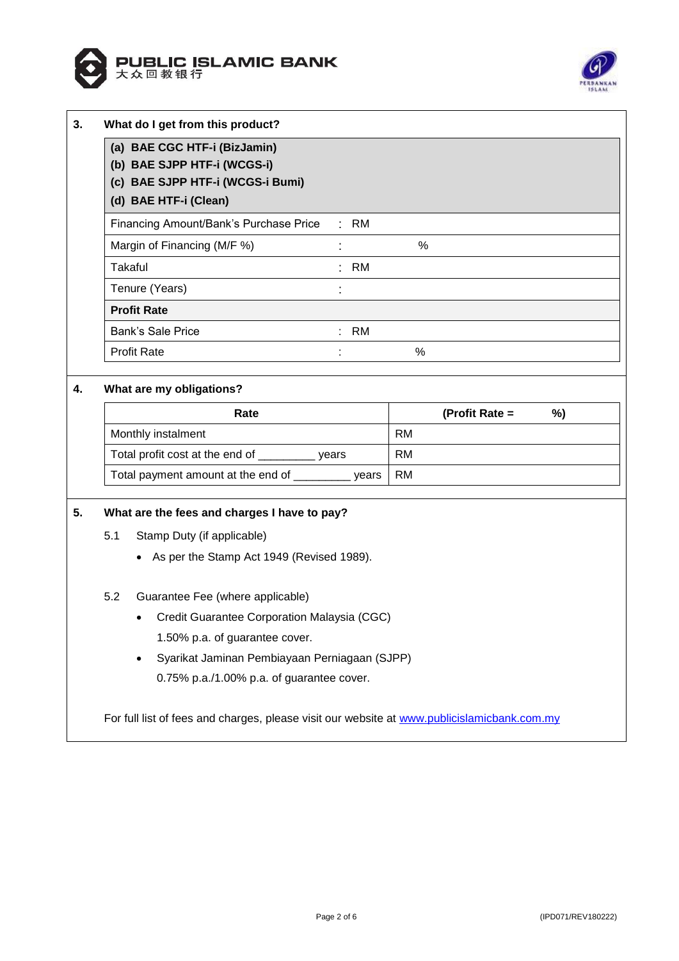



| What do I get from this product?                                                                                         |  |           |           |                |    |
|--------------------------------------------------------------------------------------------------------------------------|--|-----------|-----------|----------------|----|
| (a) BAE CGC HTF-i (BizJamin)<br>(b) BAE SJPP HTF-i (WCGS-i)<br>(c) BAE SJPP HTF-i (WCGS-i Bumi)<br>(d) BAE HTF-i (Clean) |  |           |           |                |    |
| Financing Amount/Bank's Purchase Price                                                                                   |  | $:$ RM    |           |                |    |
| Margin of Financing (M/F %)                                                                                              |  |           | $\%$      |                |    |
| <b>Takaful</b>                                                                                                           |  | : RM      |           |                |    |
| Tenure (Years)                                                                                                           |  |           |           |                |    |
| <b>Profit Rate</b>                                                                                                       |  |           |           |                |    |
| Bank's Sale Price                                                                                                        |  | RM        |           |                |    |
| <b>Profit Rate</b>                                                                                                       |  |           | %         |                |    |
| What are my obligations?                                                                                                 |  |           |           |                |    |
| Rate                                                                                                                     |  |           |           | (Profit Rate = | %) |
| Monthly instalment                                                                                                       |  |           | <b>RM</b> |                |    |
| Total profit cost at the end of __________ years                                                                         |  | <b>RM</b> |           |                |    |
| Total payment amount at the end of _________ years                                                                       |  |           | <b>RM</b> |                |    |

# **5. What are the fees and charges I have to pay?**

- 5.1 Stamp Duty (if applicable)
	- As per the Stamp Act 1949 (Revised 1989).

#### 5.2 Guarantee Fee (where applicable)

- Credit Guarantee Corporation Malaysia (CGC) 1.50% p.a. of guarantee cover.
- Syarikat Jaminan Pembiayaan Perniagaan (SJPP) 0.75% p.a./1.00% p.a. of guarantee cover.

For full list of fees and charges, please visit our website at [www.publicislamicbank.com.my](http://www.publicislamicbank.com.my/)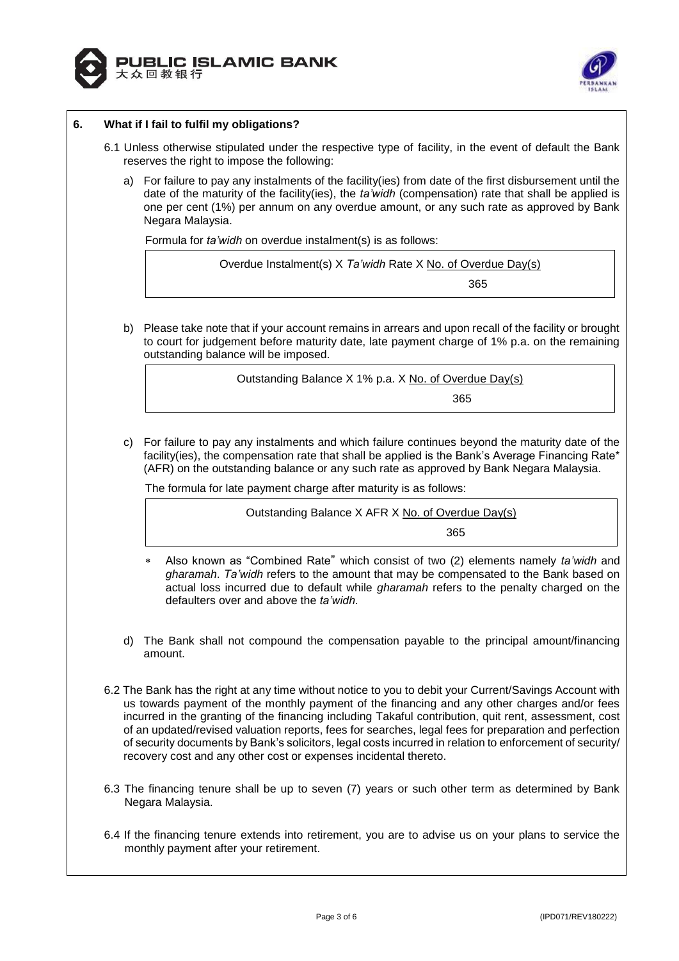



# **6. What if I fail to fulfil my obligations?**

- 6.1 Unless otherwise stipulated under the respective type of facility, in the event of default the Bank reserves the right to impose the following:
	- a) For failure to pay any instalments of the facility(ies) from date of the first disbursement until the date of the maturity of the facility(ies), the *ta'widh* (compensation) rate that shall be applied is one per cent (1%) per annum on any overdue amount, or any such rate as approved by Bank Negara Malaysia.

Formula for *ta'widh* on overdue instalment(s) is as follows:

Overdue Instalment(s) X *Ta'widh* Rate X No. of Overdue Day(s)

а в село во представања на село во 1965 године на 1965 године на 1965 године и 1965 године и 1965 године и 196

b) Please take note that if your account remains in arrears and upon recall of the facility or brought to court for judgement before maturity date, late payment charge of 1% p.a. on the remaining outstanding balance will be imposed.

Outstanding Balance X 1% p.a. X No. of Overdue Day(s) <u>365 - 1990 - 1990 - 1990 - 1990 - 1990 - 1990 - 1990 - 1990 - 1990 - 1990 - 1990 - 1990 - 1990 - 1990 - 1990 </u>

c) For failure to pay any instalments and which failure continues beyond the maturity date of the facility(ies), the compensation rate that shall be applied is the Bank's Average Financing Rate\* (AFR) on the outstanding balance or any such rate as approved by Bank Negara Malaysia.

The formula for late payment charge after maturity is as follows:

Outstanding Balance X AFR X No. of Overdue Day(s)

<u>365 - Johann Barnett, amerikansk politik (</u>

- Also known as "Combined Rate" which consist of two (2) elements namely *ta'widh* and *gharamah*. *Ta'widh* refers to the amount that may be compensated to the Bank based on actual loss incurred due to default while *gharamah* refers to the penalty charged on the defaulters over and above the *ta'widh*.
- d) The Bank shall not compound the compensation payable to the principal amount/financing amount.
- 6.2 The Bank has the right at any time without notice to you to debit your Current/Savings Account with us towards payment of the monthly payment of the financing and any other charges and/or fees incurred in the granting of the financing including Takaful contribution, quit rent, assessment, cost of an updated/revised valuation reports, fees for searches, legal fees for preparation and perfection of security documents by Bank's solicitors, legal costs incurred in relation to enforcement of security/ recovery cost and any other cost or expenses incidental thereto.
- 6.3 The financing tenure shall be up to seven (7) years or such other term as determined by Bank Negara Malaysia.
- 6.4 If the financing tenure extends into retirement, you are to advise us on your plans to service the monthly payment after your retirement.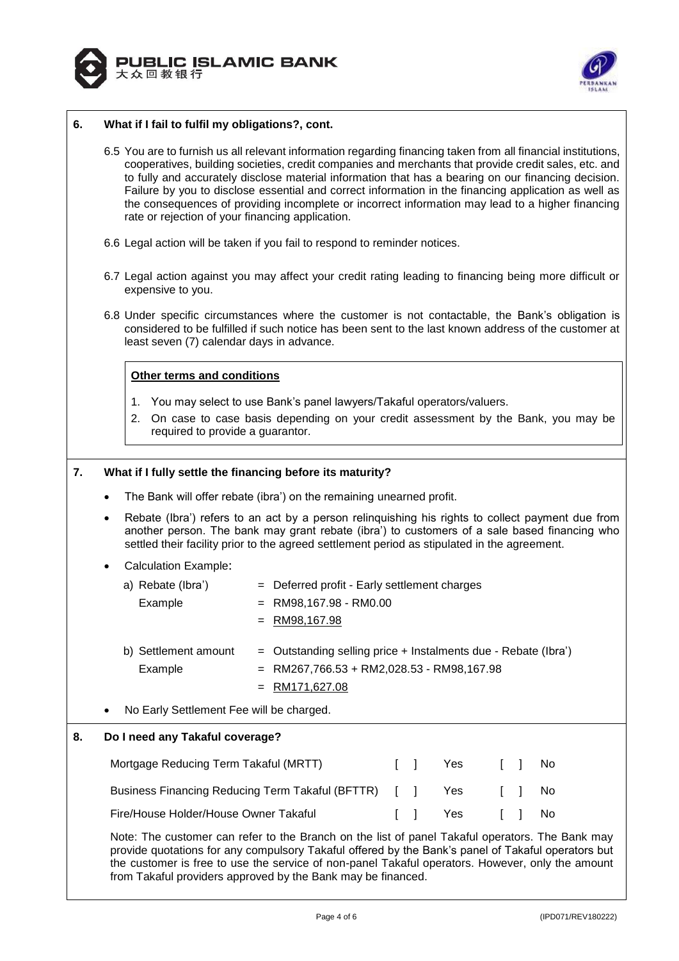



#### **6. What if I fail to fulfil my obligations?, cont.**

- 6.5 You are to furnish us all relevant information regarding financing taken from all financial institutions, cooperatives, building societies, credit companies and merchants that provide credit sales, etc. and to fully and accurately disclose material information that has a bearing on our financing decision. Failure by you to disclose essential and correct information in the financing application as well as the consequences of providing incomplete or incorrect information may lead to a higher financing rate or rejection of your financing application.
- 6.6 Legal action will be taken if you fail to respond to reminder notices.
- 6.7 Legal action against you may affect your credit rating leading to financing being more difficult or expensive to you.
- 6.8 Under specific circumstances where the customer is not contactable, the Bank's obligation is considered to be fulfilled if such notice has been sent to the last known address of the customer at least seven (7) calendar days in advance.

# **Other terms and conditions**

- 1. You may select to use Bank's panel lawyers/Takaful operators/valuers.
- 2. On case to case basis depending on your credit assessment by the Bank, you may be required to provide a guarantor.

#### **7. What if I fully settle the financing before its maturity?**

- The Bank will offer rebate (ibra') on the remaining unearned profit.
- Rebate (Ibra') refers to an act by a person relinquishing his rights to collect payment due from another person. The bank may grant rebate (ibra') to customers of a sale based financing who settled their facility prior to the agreed settlement period as stipulated in the agreement.
- Calculation Example:

| a) Rebate (Ibra')    | = Deferred profit - Early settlement charges                     |
|----------------------|------------------------------------------------------------------|
| Example              | $=$ RM98,167.98 - RM0.00                                         |
|                      | $=$ RM98,167.98                                                  |
| b) Settlement amount | $=$ Outstanding selling price + Instalments due - Rebate (Ibra') |
| Example              | $=$ RM267,766.53 + RM2,028.53 - RM98,167.98                      |

- = RM171,627.08
- No Early Settlement Fee will be charged.

#### **8. Do I need any Takaful coverage?**

| Mortgage Reducing Term Takaful (MRTT)                | $\mathbf{1}$ | Yes    | II No                               |  |
|------------------------------------------------------|--------------|--------|-------------------------------------|--|
| Business Financing Reducing Term Takaful (BFTTR) [ ] |              | Yes    | $\begin{array}{ccc} \end{array}$ No |  |
| Fire/House Holder/House Owner Takaful                |              | II Yes | II No                               |  |

Note: The customer can refer to the Branch on the list of panel Takaful operators. The Bank may provide quotations for any compulsory Takaful offered by the Bank's panel of Takaful operators but the customer is free to use the service of non-panel Takaful operators. However, only the amount from Takaful providers approved by the Bank may be financed.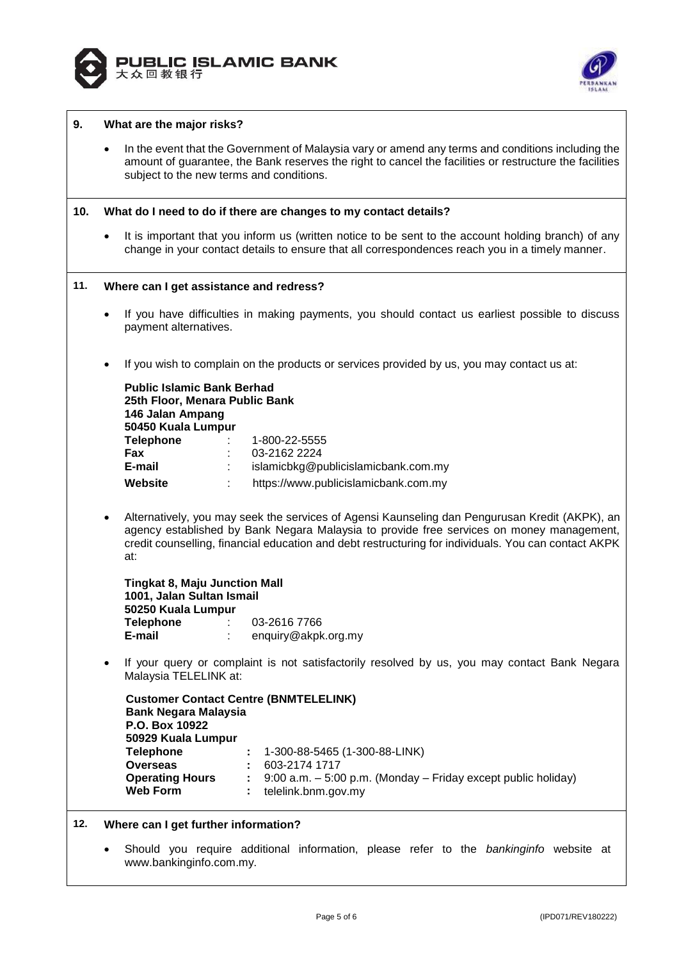



#### **9. What are the major risks?**

• In the event that the Government of Malaysia vary or amend any terms and conditions including the amount of guarantee, the Bank reserves the right to cancel the facilities or restructure the facilities subject to the new terms and conditions.

#### **10. What do I need to do if there are changes to my contact details?**

• It is important that you inform us (written notice to be sent to the account holding branch) of any change in your contact details to ensure that all correspondences reach you in a timely manner.

| 11. |                                                                                                                                                  | Where can I get assistance and redress?                                                                                                                                                                                                                                                                                                                                           |  |  |  |  |  |  |
|-----|--------------------------------------------------------------------------------------------------------------------------------------------------|-----------------------------------------------------------------------------------------------------------------------------------------------------------------------------------------------------------------------------------------------------------------------------------------------------------------------------------------------------------------------------------|--|--|--|--|--|--|
|     | $\bullet$<br>payment alternatives.                                                                                                               | If you have difficulties in making payments, you should contact us earliest possible to discuss                                                                                                                                                                                                                                                                                   |  |  |  |  |  |  |
|     |                                                                                                                                                  | If you wish to complain on the products or services provided by us, you may contact us at:                                                                                                                                                                                                                                                                                        |  |  |  |  |  |  |
|     | 146 Jalan Ampang<br>50450 Kuala Lumpur<br><b>Telephone</b><br>Fax<br>E-mail<br>Website                                                           | <b>Public Islamic Bank Berhad</b><br>25th Floor, Menara Public Bank<br>1-800-22-5555<br>03-2162 2224<br>islamicbkg@publicislamicbank.com.my<br>https://www.publicislamicbank.com.my                                                                                                                                                                                               |  |  |  |  |  |  |
|     | $\bullet$<br>at:<br>1001, Jalan Sultan Ismail<br>50250 Kuala Lumpur<br><b>Telephone : :</b><br>E-mail                                            | Alternatively, you may seek the services of Agensi Kaunseling dan Pengurusan Kredit (AKPK), an<br>agency established by Bank Negara Malaysia to provide free services on money management,<br>credit counselling, financial education and debt restructuring for individuals. You can contact AKPK<br><b>Tingkat 8, Maju Junction Mall</b><br>03-2616 7766<br>enquiry@akpk.org.my |  |  |  |  |  |  |
|     | $\bullet$<br>Malaysia TELELINK at:                                                                                                               | If your query or complaint is not satisfactorily resolved by us, you may contact Bank Negara                                                                                                                                                                                                                                                                                      |  |  |  |  |  |  |
|     | <b>Bank Negara Malaysia</b><br>P.O. Box 10922<br>50929 Kuala Lumpur<br><b>Telephone</b><br>Overseas<br><b>Operating Hours</b><br><b>Web Form</b> | <b>Customer Contact Centre (BNMTELELINK)</b><br>1-300-88-5465 (1-300-88-LINK)<br>603-2174 1717<br>9:00 a.m. - 5:00 p.m. (Monday - Friday except public holiday)<br>telelink.bnm.gov.my                                                                                                                                                                                            |  |  |  |  |  |  |
| 12. |                                                                                                                                                  | Where can I get further information?                                                                                                                                                                                                                                                                                                                                              |  |  |  |  |  |  |
|     | www.bankinginfo.com.my.                                                                                                                          | Should you require additional information, please refer to the bankinginfo website at                                                                                                                                                                                                                                                                                             |  |  |  |  |  |  |